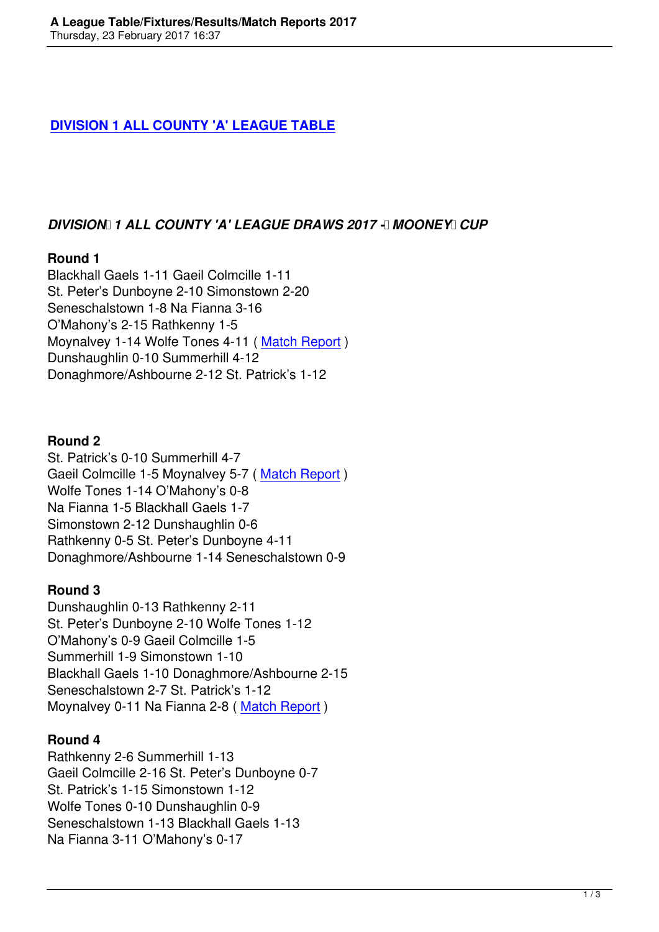#### **DIVISION 1 ALL COUNTY 'A' LEAGUE TABLE**

#### *DIVISION 1 ALL COUNTY 'A' LEAGUE DRAWS 2017 - MOONEY CUP*

#### **Round 1**

Blackhall Gaels 1-11 Gaeil Colmcille 1-11 St. Peter's Dunboyne 2-10 Simonstown 2-20 Seneschalstown 1-8 Na Fianna 3-16 O'Mahony's 2-15 Rathkenny 1-5 Moynalvey 1-14 Wolfe Tones 4-11 ( Match Report ) Dunshaughlin 0-10 Summerhill 4-12 Donaghmore/Ashbourne 2-12 St. Patrick's 1-12

#### **Round 2**

St. Patrick's 0-10 Summerhill 4-7 Gaeil Colmcille 1-5 Moynalvey 5-7 ( Match Report ) Wolfe Tones 1-14 O'Mahony's 0-8 Na Fianna 1-5 Blackhall Gaels 1-7 Simonstown 2-12 Dunshaughlin 0-6 Rathkenny 0-5 St. Peter's Dunboyn[e 4-11](a-leaguesenior/2044-goals-help-moynalvey-to-1st-league-win.html) Donaghmore/Ashbourne 1-14 Seneschalstown 0-9

#### **Round 3**

Dunshaughlin 0-13 Rathkenny 2-11 St. Peter's Dunboyne 2-10 Wolfe Tones 1-12 O'Mahony's 0-9 Gaeil Colmcille 1-5 Summerhill 1-9 Simonstown 1-10 Blackhall Gaels 1-10 Donaghmore/Ashbourne 2-15 Seneschalstown 2-7 St. Patrick's 1-12 Moynalvey 0-11 Na Fianna 2-8 ( Match Report )

#### **Round 4**

Rathkenny 2-6 Summerhill 1-13 Gaeil Colmcille 2-16 St. Peter's [Dunboyne 0-7](a-leaguesenior/2054-3-points-separate-moynalvey-a-na-fianna-in-a-league-round-3.html) St. Patrick's 1-15 Simonstown 1-12 Wolfe Tones 0-10 Dunshaughlin 0-9 Seneschalstown 1-13 Blackhall Gaels 1-13 Na Fianna 3-11 O'Mahony's 0-17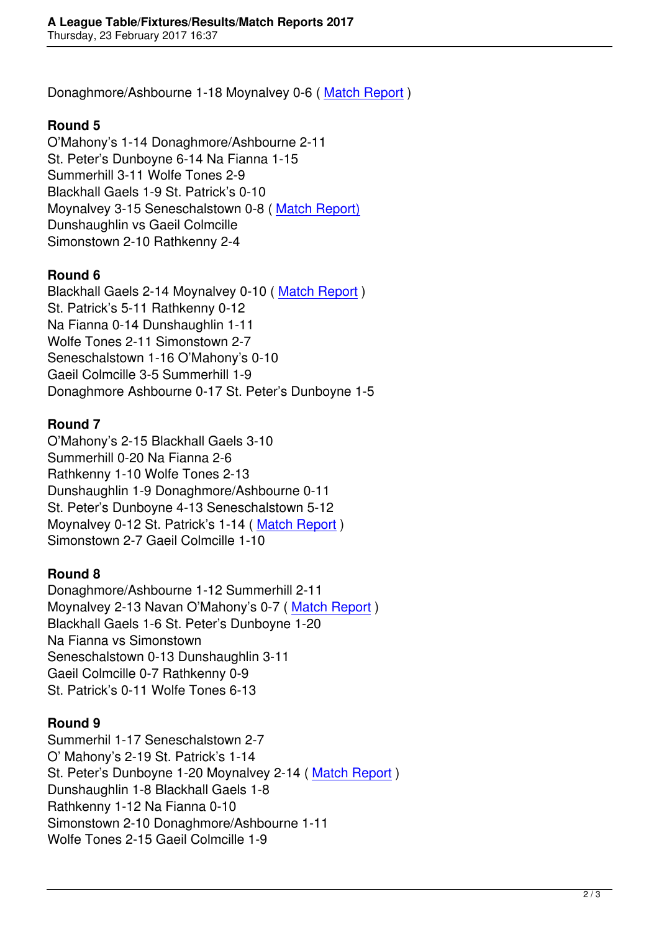Donaghmore/Ashbourne 1-18 Moynalvey 0-6 ( Match Report )

## **Round 5**

O'Mahony's 1-14 Donaghmore/Ashbourne 2-1[1](a-leaguesenior/2063-reigning-champs-donaghmoreashbourne-sweep-understrength-moynalvey-aside.html)  St. Peter's Dunboyne 6-14 Na Fianna 1-15 Summerhill 3-11 Wolfe Tones 2-9 Blackhall Gaels 1-9 St. Patrick's 0-10 Moynalvey 3-15 Seneschalstown 0-8 ( Match Report) Dunshaughlin vs Gaeil Colmcille Simonstown 2-10 Rathkenny 2-4

# **Round 6**

Blackhall Gaels 2-14 Moynalvey 0-10 ( Match Report ) St. Patrick's 5-11 Rathkenny 0-12 Na Fianna 0-14 Dunshaughlin 1-11 Wolfe Tones 2-11 Simonstown 2-7 Seneschalstown 1-16 O'Mahony's 0-1[0](component/content/article/44-upcoming-fixtures/2097-a-league-defeat-to-neighbours.html) Gaeil Colmcille 3-5 Summerhill 1-9 Donaghmore Ashbourne 0-17 St. Peter's Dunboyne 1-5

# **Round 7**

O'Mahony's 2-15 Blackhall Gaels 3-10 Summerhill 0-20 Na Fianna 2-6 Rathkenny 1-10 Wolfe Tones 2-13 Dunshaughlin 1-9 Donaghmore/Ashbourne 0-11 St. Peter's Dunboyne 4-13 Seneschalstown 5-12 Moynalvey 0-12 St. Patrick's 1-14 ( Match Report ) Simonstown 2-7 Gaeil Colmcille 1-10

# **Round 8**

Donaghmore/Ashbourne 1-12 Sum[merhill 2-11](a-leaguesenior/2106-st-pats-inflict-fifth-a-league-defeat-on-moynalvey.html) Moynalvey 2-13 Navan O'Mahony's 0-7 ( Match Report ) Blackhall Gaels 1-6 St. Peter's Dunboyne 1-20 Na Fianna vs Simonstown Seneschalstown 0-13 Dunshaughlin 3-11 Gaeil Colmcille 0-7 Rathkenny 0-9 St. Patrick's 0-11 Wolfe Tones 6-13

# **Round 9**

Summerhil 1-17 Seneschalstown 2-7 O' Mahony's 2-19 St. Patrick's 1-14 St. Peter's Dunboyne 1-20 Moynalvey 2-14 ( Match Report ) Dunshaughlin 1-8 Blackhall Gaels 1-8 Rathkenny 1-12 Na Fianna 0-10 Simonstown 2-10 Donaghmore/Ashbourne 1[-11](a-leaguesenior/2125-second-half-fightback-falls-just-short.html) Wolfe Tones 2-15 Gaeil Colmcille 1-9